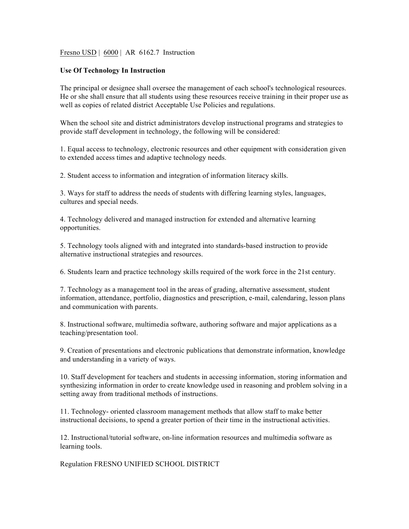## Fresno USD | 6000 | AR 6162.7 Instruction

## **Use Of Technology In Instruction**

The principal or designee shall oversee the management of each school's technological resources. He or she shall ensure that all students using these resources receive training in their proper use as well as copies of related district Acceptable Use Policies and regulations.

When the school site and district administrators develop instructional programs and strategies to provide staff development in technology, the following will be considered:

1. Equal access to technology, electronic resources and other equipment with consideration given to extended access times and adaptive technology needs.

2. Student access to information and integration of information literacy skills.

3. Ways for staff to address the needs of students with differing learning styles, languages, cultures and special needs.

4. Technology delivered and managed instruction for extended and alternative learning opportunities.

5. Technology tools aligned with and integrated into standards-based instruction to provide alternative instructional strategies and resources.

6. Students learn and practice technology skills required of the work force in the 21st century.

7. Technology as a management tool in the areas of grading, alternative assessment, student information, attendance, portfolio, diagnostics and prescription, e-mail, calendaring, lesson plans and communication with parents.

8. Instructional software, multimedia software, authoring software and major applications as a teaching/presentation tool.

9. Creation of presentations and electronic publications that demonstrate information, knowledge and understanding in a variety of ways.

10. Staff development for teachers and students in accessing information, storing information and synthesizing information in order to create knowledge used in reasoning and problem solving in a setting away from traditional methods of instructions.

11. Technology- oriented classroom management methods that allow staff to make better instructional decisions, to spend a greater portion of their time in the instructional activities.

12. Instructional/tutorial software, on-line information resources and multimedia software as learning tools.

Regulation FRESNO UNIFIED SCHOOL DISTRICT